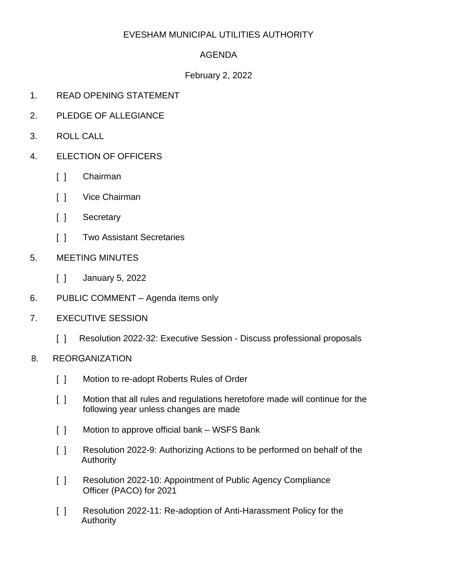# EVESHAM MUNICIPAL UTILITIES AUTHORITY

## AGENDA

### February 2, 2022

- 1. READ OPENING STATEMENT
- 2. PLEDGE OF ALLEGIANCE
- 3. ROLL CALL
- 4. ELECTION OF OFFICERS
	- [ ] Chairman
	- [ ] Vice Chairman
	- [ ] Secretary
	- [ ] Two Assistant Secretaries
- 5. MEETING MINUTES
	- [ ] January 5, 2022
- 6. PUBLIC COMMENT Agenda items only
- 7. EXECUTIVE SESSION
	- [ ] Resolution 2022-32: Executive Session Discuss professional proposals
- 8. REORGANIZATION
	- [ ] Motion to re-adopt Roberts Rules of Order
	- [ ] Motion that all rules and regulations heretofore made will continue for the following year unless changes are made
	- [ ] Motion to approve official bank WSFS Bank
	- [ ] Resolution 2022-9: Authorizing Actions to be performed on behalf of the Authority
	- [ ] Resolution 2022-10: Appointment of Public Agency Compliance Officer (PACO) for 2021
	- [] Resolution 2022-11: Re-adoption of Anti-Harassment Policy for the Authority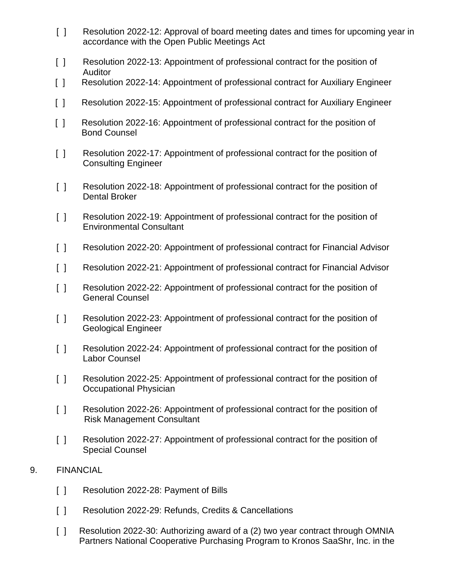- [ ] Resolution 2022-12: Approval of board meeting dates and times for upcoming year in accordance with the Open Public Meetings Act
- [ ] Resolution 2022-13: Appointment of professional contract for the position of Auditor
- [ ] Resolution 2022-14: Appointment of professional contract for Auxiliary Engineer
- [ ] Resolution 2022-15: Appointment of professional contract for Auxiliary Engineer
- [ ] Resolution 2022-16: Appointment of professional contract for the position of Bond Counsel
- [ ] Resolution 2022-17: Appointment of professional contract for the position of Consulting Engineer
- [ ] Resolution 2022-18: Appointment of professional contract for the position of Dental Broker
- [ ] Resolution 2022-19: Appointment of professional contract for the position of Environmental Consultant
- [ ] Resolution 2022-20: Appointment of professional contract for Financial Advisor
- [ ] Resolution 2022-21: Appointment of professional contract for Financial Advisor
- [ ] Resolution 2022-22: Appointment of professional contract for the position of General Counsel
- [ ] Resolution 2022-23: Appointment of professional contract for the position of Geological Engineer
- [ ] Resolution 2022-24: Appointment of professional contract for the position of Labor Counsel
- [ ] Resolution 2022-25: Appointment of professional contract for the position of Occupational Physician
- [ ] Resolution 2022-26: Appointment of professional contract for the position of Risk Management Consultant
- [ ] Resolution 2022-27: Appointment of professional contract for the position of Special Counsel
- 9. FINANCIAL
	- [ ] Resolution 2022-28: Payment of Bills
	- [] Resolution 2022-29: Refunds, Credits & Cancellations
	- [ ] Resolution 2022-30: Authorizing award of a (2) two year contract through OMNIA Partners National Cooperative Purchasing Program to Kronos SaaShr, Inc. in the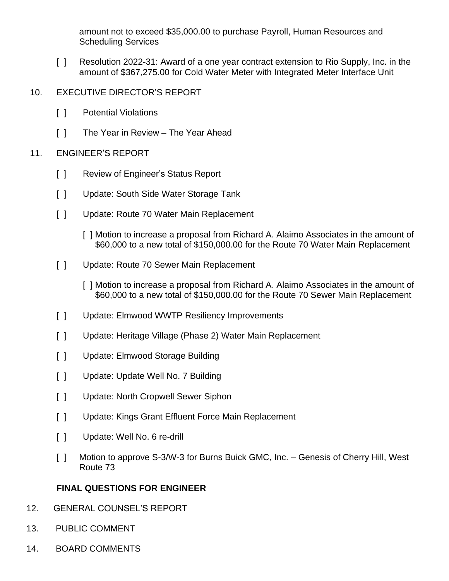amount not to exceed \$35,000.00 to purchase Payroll, Human Resources and Scheduling Services

- [ ] Resolution 2022-31: Award of a one year contract extension to Rio Supply, Inc. in the amount of \$367,275.00 for Cold Water Meter with Integrated Meter Interface Unit
- 10. EXECUTIVE DIRECTOR'S REPORT
	- [ ] Potential Violations
	- [ ] The Year in Review The Year Ahead

### 11. ENGINEER'S REPORT

- [ ] Review of Engineer's Status Report
- [ ] Update: South Side Water Storage Tank
- [ ] Update: Route 70 Water Main Replacement
	- [ ] Motion to increase a proposal from Richard A. Alaimo Associates in the amount of \$60,000 to a new total of \$150,000.00 for the Route 70 Water Main Replacement
- [ ] Update: Route 70 Sewer Main Replacement
	- [ ] Motion to increase a proposal from Richard A. Alaimo Associates in the amount of \$60,000 to a new total of \$150,000.00 for the Route 70 Sewer Main Replacement
- [ ] Update: Elmwood WWTP Resiliency Improvements
- [ ] Update: Heritage Village (Phase 2) Water Main Replacement
- [ ] Update: Elmwood Storage Building
- [ ] Update: Update Well No. 7 Building
- [ ] Update: North Cropwell Sewer Siphon
- [ ] Update: Kings Grant Effluent Force Main Replacement
- [ ] Update: Well No. 6 re-drill
- [ ] Motion to approve S-3/W-3 for Burns Buick GMC, Inc. Genesis of Cherry Hill, West Route 73

# **FINAL QUESTIONS FOR ENGINEER**

- 12. GENERAL COUNSEL'S REPORT
- 13. PUBLIC COMMENT
- 14. BOARD COMMENTS